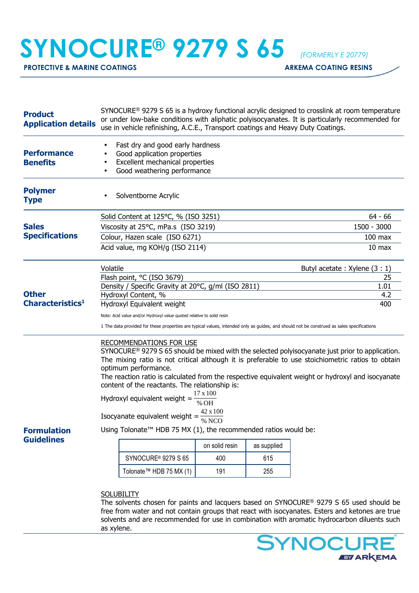## **SYNOCURE® 9279 S 65** *(FORMERLY E 20779)*

**PROTECTIVE & MARINE COATINGS ARKEMA COATING RESINS** 

| <b>Product</b><br><b>Application details</b>        | SYNOCURE <sup>®</sup> 9279 S 65 is a hydroxy functional acrylic designed to crosslink at room temperature<br>or under low-bake conditions with aliphatic polyisocyanates. It is particularly recommended for<br>use in vehicle refinishing, A.C.E., Transport coatings and Heavy Duty Coatings.                                                                                                                                                                                  |                   |             |             |  |
|-----------------------------------------------------|----------------------------------------------------------------------------------------------------------------------------------------------------------------------------------------------------------------------------------------------------------------------------------------------------------------------------------------------------------------------------------------------------------------------------------------------------------------------------------|-------------------|-------------|-------------|--|
| <b>Performance</b><br><b>Benefits</b>               | Fast dry and good early hardness<br>Good application properties<br>Excellent mechanical properties<br>$\bullet$<br>Good weathering performance                                                                                                                                                                                                                                                                                                                                   |                   |             |             |  |
| <b>Polymer</b><br><b>Type</b>                       | Solventborne Acrylic                                                                                                                                                                                                                                                                                                                                                                                                                                                             |                   |             |             |  |
| <b>Sales</b><br><b>Specifications</b>               | Solid Content at 125°C, % (ISO 3251)                                                                                                                                                                                                                                                                                                                                                                                                                                             | $64 - 66$         |             |             |  |
|                                                     | Viscosity at 25°C, mPa.s (ISO 3219)                                                                                                                                                                                                                                                                                                                                                                                                                                              | 1500 - 3000       |             |             |  |
|                                                     | Colour, Hazen scale (ISO 6271)                                                                                                                                                                                                                                                                                                                                                                                                                                                   | $100$ max         |             |             |  |
|                                                     | Acid value, mg KOH/g (ISO 2114)                                                                                                                                                                                                                                                                                                                                                                                                                                                  | 10 <sub>max</sub> |             |             |  |
| <b>Other</b><br><b>Characteristics</b> <sup>1</sup> | Volatile<br>Butyl acetate: Xylene (3 : 1)                                                                                                                                                                                                                                                                                                                                                                                                                                        |                   |             |             |  |
|                                                     | Flash point, °C (ISO 3679)                                                                                                                                                                                                                                                                                                                                                                                                                                                       |                   |             | 25          |  |
|                                                     | Density / Specific Gravity at 20°C, g/ml (ISO 2811)<br>Hydroxyl Content, %                                                                                                                                                                                                                                                                                                                                                                                                       |                   |             | 1.01<br>4.2 |  |
|                                                     | Hydroxyl Equivalent weight<br>400                                                                                                                                                                                                                                                                                                                                                                                                                                                |                   |             |             |  |
|                                                     | Note: Acid value and/or Hydroxyl value quoted relative to solid resin                                                                                                                                                                                                                                                                                                                                                                                                            |                   |             |             |  |
|                                                     | 1 The data provided for these properties are typical values, intended only as guides, and should not be construed as sales specifications                                                                                                                                                                                                                                                                                                                                        |                   |             |             |  |
|                                                     | RECOMMENDATIONS FOR USE<br>SYNOCURE <sup>®</sup> 9279 S 65 should be mixed with the selected polyisocyanate just prior to application.<br>The mixing ratio is not critical although it is preferable to use stoichiometric ratios to obtain<br>optimum performance.<br>The reaction ratio is calculated from the respective equivalent weight or hydroxyl and isocyanate<br>content of the reactants. The relationship is:<br>17 x 100<br>Hydroxyl equivalent weight =<br>% $OH$ |                   |             |             |  |
| <b>Formulation</b><br><b>Guidelines</b>             | $42 \times 100$<br>Isocyanate equivalent weight = $\frac{1}{\%}$ NCO                                                                                                                                                                                                                                                                                                                                                                                                             |                   |             |             |  |
|                                                     | Using Tolonate <sup>™</sup> HDB 75 MX (1), the recommended ratios would be:                                                                                                                                                                                                                                                                                                                                                                                                      |                   |             |             |  |
|                                                     |                                                                                                                                                                                                                                                                                                                                                                                                                                                                                  | on solid resin    | as supplied |             |  |
|                                                     | SYNOCURE <sup>®</sup> 9279 S 65                                                                                                                                                                                                                                                                                                                                                                                                                                                  | 400               | 615         |             |  |
|                                                     | Tolonate™ HDB 75 MX (1)                                                                                                                                                                                                                                                                                                                                                                                                                                                          | 191               | 255         |             |  |
|                                                     | <b>SOLUBILITY</b>                                                                                                                                                                                                                                                                                                                                                                                                                                                                |                   |             |             |  |

The solvents chosen for paints and lacquers based on SYNOCURE® 9279 S 65 used should be free from water and not contain groups that react with isocyanates. Esters and ketones are true solvents and are recommended for use in combination with aromatic hydrocarbon diluents such as xylene.